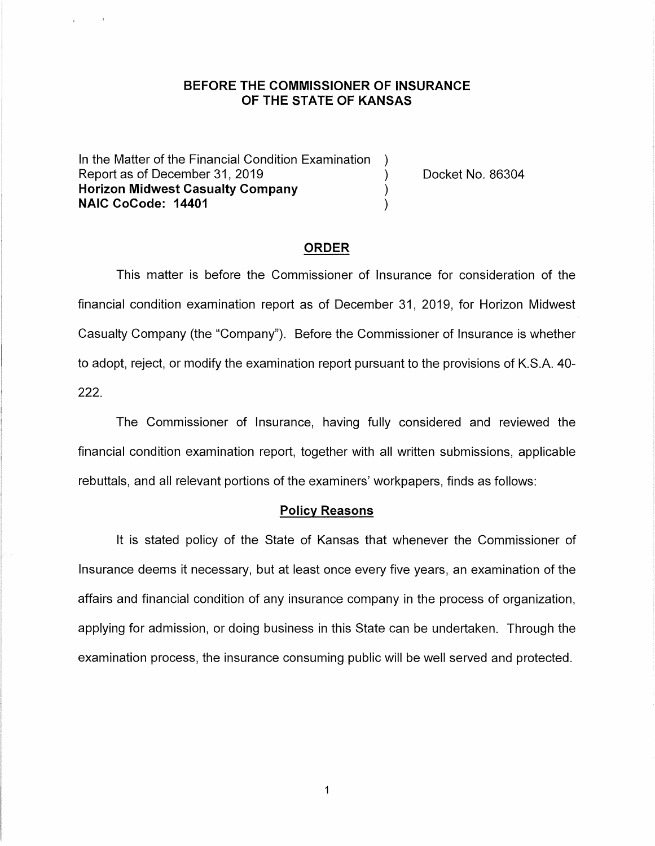### **BEFORE THE COMMISSIONER OF INSURANCE OF THE STATE OF KANSAS**

In the Matter of the Financial Condition Examination Report as of December 31, 2019 (and the control of Docket No. 86304) **Horizon Midwest Casualty Company** ) **NAIC CoCode: 14401** )

#### **ORDER**

This matter is before the Commissioner of Insurance for consideration of the financial condition examination report as of December 31, 2019, for Horizon Midwest Casualty Company (the "Company"). Before the Commissioner of Insurance is whether to adopt, reject, or modify the examination report pursuant to the provisions of K.S.A. 40- 222.

The Commissioner of Insurance, having fully considered and reviewed the financial condition examination report, together with all written submissions, applicable rebuttals, and all relevant portions of the examiners' workpapers, finds as follows:

#### **Policy Reasons**

It is stated policy of the State of Kansas that whenever the Commissioner of Insurance deems it necessary, but at least once every five years, an examination of the affairs and financial condition of any insurance company in the process of organization, applying for admission, or doing business in this State can be undertaken. Through the examination process, the insurance consuming public will be well served and protected.

 $\mathbf 1$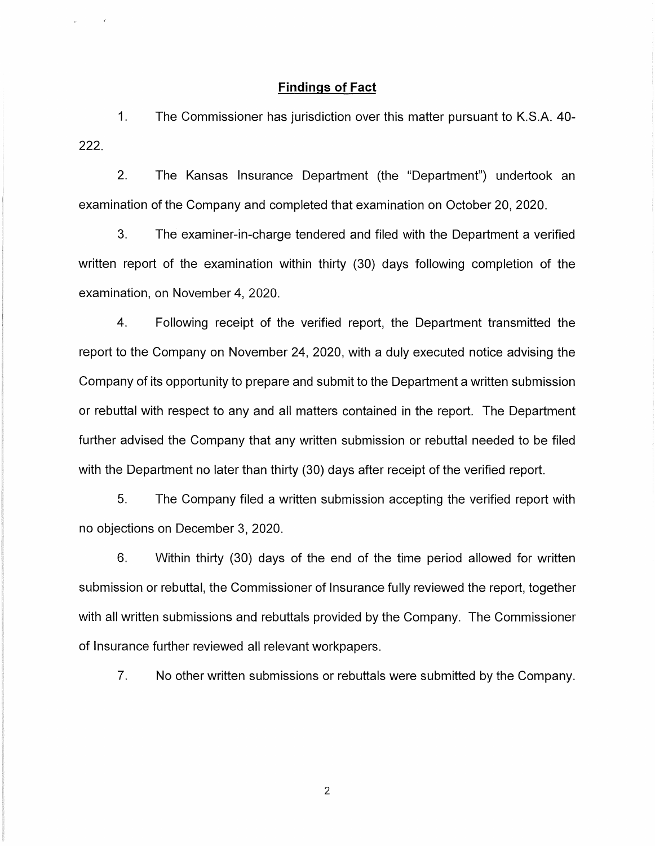#### **Findings of Fact**

 $\mathcal{L}^{\mathcal{L}}$ 

1. The Commissioner has jurisdiction over this matter pursuant to K.S.A. 40- 222.

2. The Kansas Insurance Department (the "Department") undertook an examination of the Company and completed that examination on October 20, 2020.

3. The examiner-in-charge tendered and filed with the Department a verified written report of the examination within thirty (30) days following completion of the examination, on November 4, 2020.

4. Following receipt of the verified report, the Department transmitted the report to the Company on November 24, 2020, with a duly executed notice advising the Company of its opportunity to prepare and submit to the Department a written submission or rebuttal with respect to any and all matters contained in the report. The Department further advised the Company that any written submission or rebuttal needed to be filed with the Department no later than thirty (30) days after receipt of the verified report.

5. The Company filed a written submission accepting the verified report with no objections on December 3, 2020.

6. Within thirty (30) days of the end of the time period allowed for written submission or rebuttal, the Commissioner of Insurance fully reviewed the report, together with all written submissions and rebuttals provided by the Company. The Commissioner of Insurance further reviewed all relevant workpapers.

7. No other written submissions or rebuttals were submitted by the Company.

2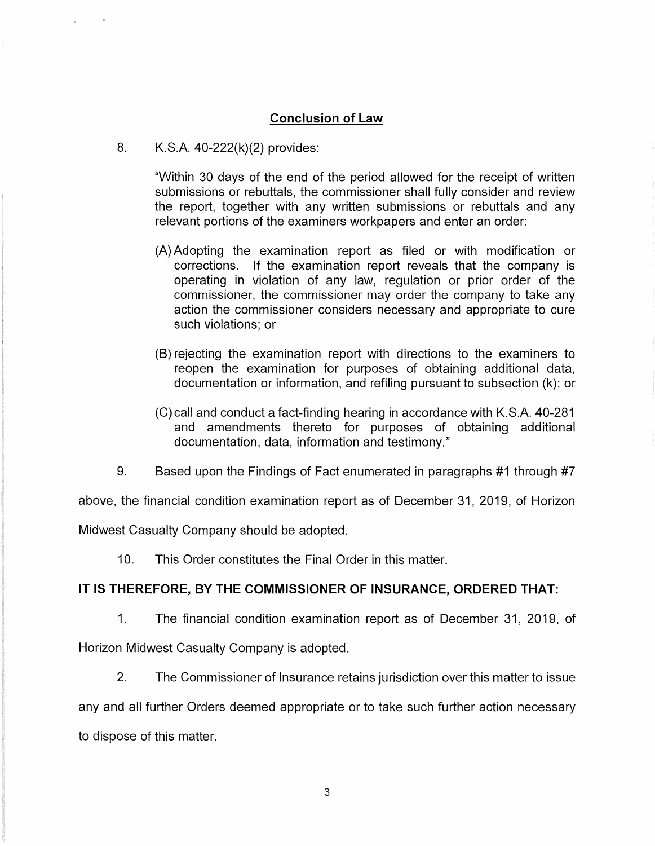## **Conclusion of Law**

8. K.S.A. 40-222(k)(2) provides:

 $\pm$ 

"Within 30 days of the end of the period allowed for the receipt of written submissions or rebuttals, the commissioner shall fully consider and review the report, together with any written submissions or rebuttals and any relevant portions of the examiners workpapers and enter an order:

- (A) Adopting the examination report as filed or with modification or corrections. If the examination report reveals that the company is operating in violation of any law, regulation or prior order of the commissioner, the commissioner may order the company to take any action the commissioner considers necessary and appropriate to cure such violations; or
- (B) rejecting the examination report with directions to the examiners to reopen the examination for purposes of obtaining additional data, documentation or information, and refiling pursuant to subsection (k); or
- (C) call and conduct a fact-finding hearing in accordance with K.S.A. 40-281 and amendments thereto for purposes of obtaining additional documentation, data, information and testimony."
- 9. Based upon the Findings of Fact enumerated in paragraphs #1 through #7

above, the financial condition examination report as of December 31, 2019, of Horizon

Midwest Casualty Company should be adopted.

10. This Order constitutes the Final Order in this matter.

## **IT IS THEREFORE, BY THE COMMISSIONER OF INSURANCE, ORDERED THAT:**

1. The financial condition examination report as of December 31, 2019, of Horizon Midwest Casualty Company is adopted.

2. The Commissioner of Insurance retains jurisdiction over this matter to issue

any and all further Orders deemed appropriate or to take such further action necessary to dispose of this matter.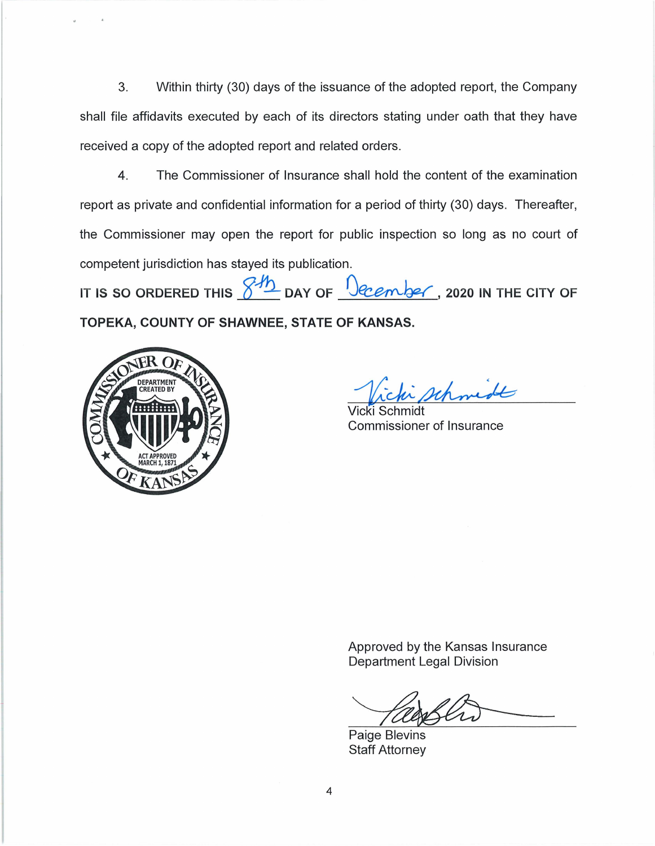3. Within thirty (30) days of the issuance of the adopted report, the Company shall file affidavits executed by each of its directors stating under oath that they have received a copy of the adopted report and related orders.

4. The Commissioner of Insurance shall hold the content of the examination report as private and confidential information for a period of thirty (30) days. Thereafter, the Commissioner may open the report for public inspection so long as no court of competent jurisdiction has stayed its publication.

IT IS SO ORDERED THIS  $\frac{\cancel{345}}{2}$  DAY OF  $\frac{1}{2}$  *Ocember*, 2020 IN THE CITY OF **TOPEKA, COUNTY OF SHAWNEE, STATE OF KANSAS.** 



schmidt

Vicki Schmidt Commissioner of Insurance

Approved by the Kansas Insurance Department Legal Division

Paige Blevins Staff Attorney